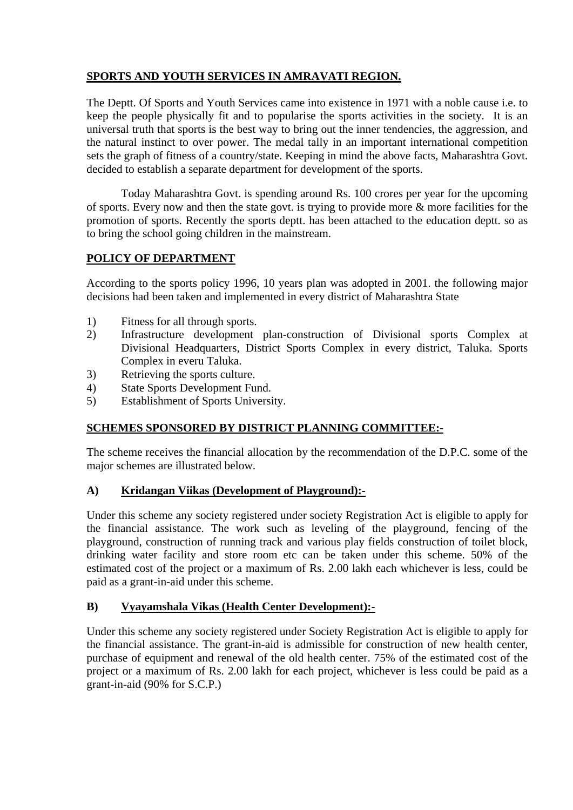## **SPORTS AND YOUTH SERVICES IN AMRAVATI REGION.**

The Deptt. Of Sports and Youth Services came into existence in 1971 with a noble cause i.e. to keep the people physically fit and to popularise the sports activities in the society. It is an universal truth that sports is the best way to bring out the inner tendencies, the aggression, and the natural instinct to over power. The medal tally in an important international competition sets the graph of fitness of a country/state. Keeping in mind the above facts, Maharashtra Govt. decided to establish a separate department for development of the sports.

 Today Maharashtra Govt. is spending around Rs. 100 crores per year for the upcoming of sports. Every now and then the state govt. is trying to provide more & more facilities for the promotion of sports. Recently the sports deptt. has been attached to the education deptt. so as to bring the school going children in the mainstream.

## **POLICY OF DEPARTMENT**

According to the sports policy 1996, 10 years plan was adopted in 2001. the following major decisions had been taken and implemented in every district of Maharashtra State

- 1) Fitness for all through sports.
- 2) Infrastructure development plan-construction of Divisional sports Complex at Divisional Headquarters, District Sports Complex in every district, Taluka. Sports Complex in everu Taluka.
- 3) Retrieving the sports culture.
- 4) State Sports Development Fund.
- 5) Establishment of Sports University.

## **SCHEMES SPONSORED BY DISTRICT PLANNING COMMITTEE:-**

The scheme receives the financial allocation by the recommendation of the D.P.C. some of the major schemes are illustrated below.

## **A) Kridangan Viikas (Development of Playground):-**

Under this scheme any society registered under society Registration Act is eligible to apply for the financial assistance. The work such as leveling of the playground, fencing of the playground, construction of running track and various play fields construction of toilet block, drinking water facility and store room etc can be taken under this scheme. 50% of the estimated cost of the project or a maximum of Rs. 2.00 lakh each whichever is less, could be paid as a grant-in-aid under this scheme.

## **B) Vyayamshala Vikas (Health Center Development):-**

Under this scheme any society registered under Society Registration Act is eligible to apply for the financial assistance. The grant-in-aid is admissible for construction of new health center, purchase of equipment and renewal of the old health center. 75% of the estimated cost of the project or a maximum of Rs. 2.00 lakh for each project, whichever is less could be paid as a grant-in-aid (90% for S.C.P.)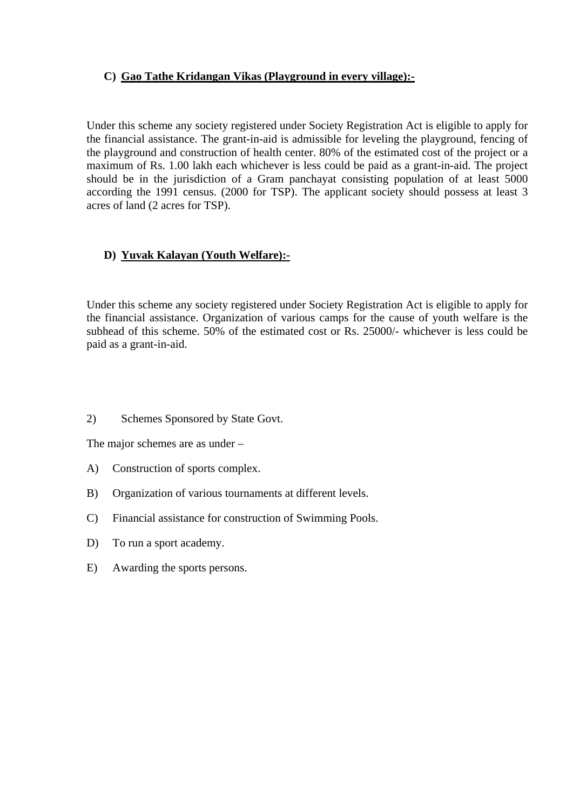## **C) Gao Tathe Kridangan Vikas (Playground in every village):-**

Under this scheme any society registered under Society Registration Act is eligible to apply for the financial assistance. The grant-in-aid is admissible for leveling the playground, fencing of the playground and construction of health center. 80% of the estimated cost of the project or a maximum of Rs. 1.00 lakh each whichever is less could be paid as a grant-in-aid. The project should be in the jurisdiction of a Gram panchayat consisting population of at least 5000 according the 1991 census. (2000 for TSP). The applicant society should possess at least 3 acres of land (2 acres for TSP).

## **D) Yuvak Kalayan (Youth Welfare):-**

Under this scheme any society registered under Society Registration Act is eligible to apply for the financial assistance. Organization of various camps for the cause of youth welfare is the subhead of this scheme. 50% of the estimated cost or Rs. 25000/- whichever is less could be paid as a grant-in-aid.

2) Schemes Sponsored by State Govt.

The major schemes are as under –

- A) Construction of sports complex.
- B) Organization of various tournaments at different levels.
- C) Financial assistance for construction of Swimming Pools.
- D) To run a sport academy.
- E) Awarding the sports persons.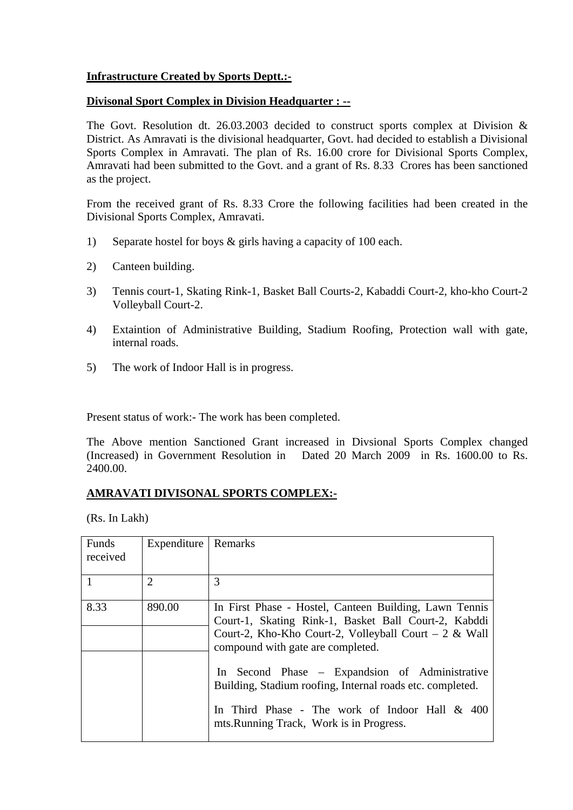#### **Infrastructure Created by Sports Deptt.:-**

#### **Divisonal Sport Complex in Division Headquarter : --**

The Govt. Resolution dt. 26.03.2003 decided to construct sports complex at Division  $\&$ District. As Amravati is the divisional headquarter, Govt. had decided to establish a Divisional Sports Complex in Amravati. The plan of Rs. 16.00 crore for Divisional Sports Complex, Amravati had been submitted to the Govt. and a grant of Rs. 8.33 Crores has been sanctioned as the project.

From the received grant of Rs. 8.33 Crore the following facilities had been created in the Divisional Sports Complex, Amravati.

- 1) Separate hostel for boys & girls having a capacity of 100 each.
- 2) Canteen building.
- 3) Tennis court-1, Skating Rink-1, Basket Ball Courts-2, Kabaddi Court-2, kho-kho Court-2 Volleyball Court-2.
- 4) Extaintion of Administrative Building, Stadium Roofing, Protection wall with gate, internal roads.
- 5) The work of Indoor Hall is in progress.

Present status of work:- The work has been completed.

The Above mention Sanctioned Grant increased in Divsional Sports Complex changed (Increased) in Government Resolution in Dated 20 March 2009 in Rs. 1600.00 to Rs. 2400.00.

#### **AMRAVATI DIVISONAL SPORTS COMPLEX:-**

(Rs. In Lakh)

| Funds<br>received | Expenditure                 | Remarks                                                                                                                                                                                                      |
|-------------------|-----------------------------|--------------------------------------------------------------------------------------------------------------------------------------------------------------------------------------------------------------|
|                   | $\mathcal{D}_{\mathcal{L}}$ | 3                                                                                                                                                                                                            |
| 8.33              | 890.00                      | In First Phase - Hostel, Canteen Building, Lawn Tennis<br>Court-1, Skating Rink-1, Basket Ball Court-2, Kabddi<br>Court-2, Kho-Kho Court-2, Volleyball Court – 2 & Wall<br>compound with gate are completed. |
|                   |                             | In Second Phase – Expandsion of Administrative<br>Building, Stadium roofing, Internal roads etc. completed.<br>In Third Phase - The work of Indoor Hall $& 400$<br>mts. Running Track, Work is in Progress.  |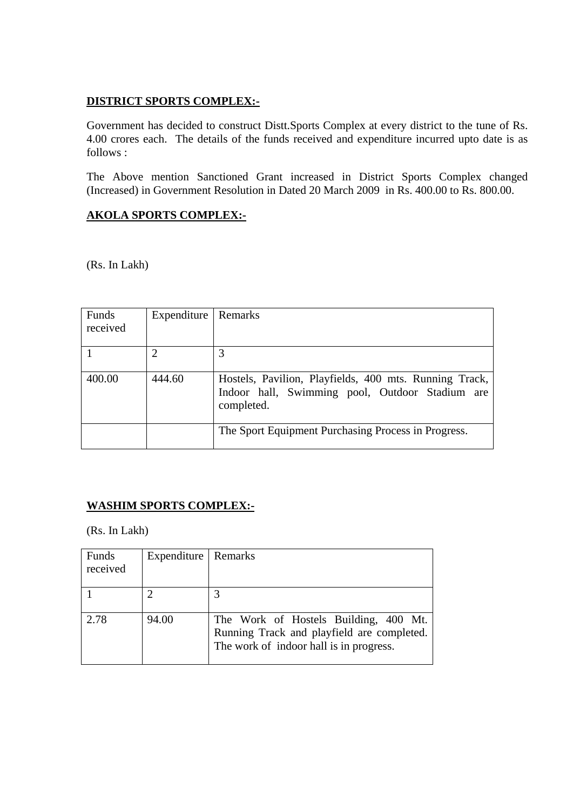## **DISTRICT SPORTS COMPLEX:-**

Government has decided to construct Distt.Sports Complex at every district to the tune of Rs. 4.00 crores each. The details of the funds received and expenditure incurred upto date is as follows :

The Above mention Sanctioned Grant increased in District Sports Complex changed (Increased) in Government Resolution in Dated 20 March 2009 in Rs. 400.00 to Rs. 800.00.

## **AKOLA SPORTS COMPLEX:-**

(Rs. In Lakh)

| Funds<br>received | Expenditure | Remarks                                                                                                                 |
|-------------------|-------------|-------------------------------------------------------------------------------------------------------------------------|
|                   | 2           | 3                                                                                                                       |
| 400.00            | 444.60      | Hostels, Pavilion, Playfields, 400 mts. Running Track,<br>Indoor hall, Swimming pool, Outdoor Stadium are<br>completed. |
|                   |             | The Sport Equipment Purchasing Process in Progress.                                                                     |

## **WASHIM SPORTS COMPLEX:-**

(Rs. In Lakh)

| Funds<br>received | Expenditure   Remarks |                                                                                                                                |
|-------------------|-----------------------|--------------------------------------------------------------------------------------------------------------------------------|
|                   |                       |                                                                                                                                |
| 2.78              | 94.00                 | The Work of Hostels Building, 400 Mt.<br>Running Track and playfield are completed.<br>The work of indoor hall is in progress. |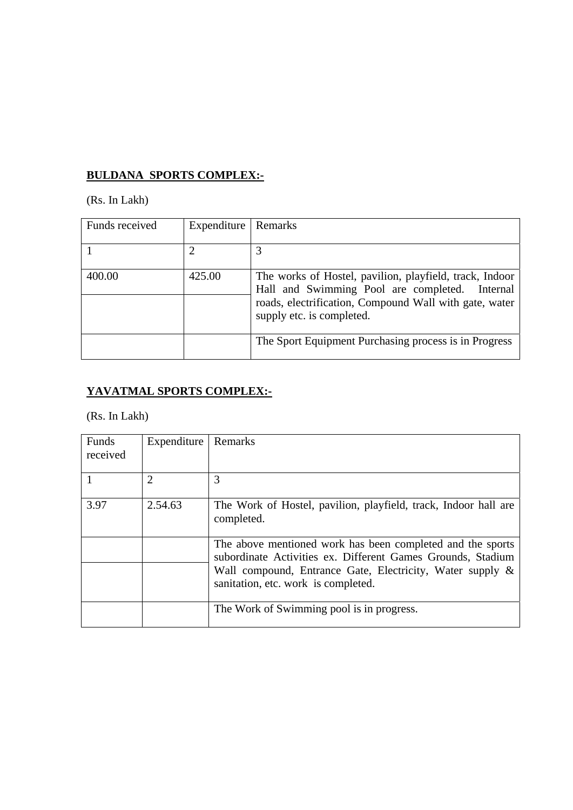## **BULDANA SPORTS COMPLEX:-**

(Rs. In Lakh)

| Funds received | Expenditure | Remarks                                                                                                                                                                                             |
|----------------|-------------|-----------------------------------------------------------------------------------------------------------------------------------------------------------------------------------------------------|
|                |             | 3                                                                                                                                                                                                   |
| 400.00         | 425.00      | The works of Hostel, pavilion, playfield, track, Indoor<br>Hall and Swimming Pool are completed.<br>Internal<br>roads, electrification, Compound Wall with gate, water<br>supply etc. is completed. |
|                |             | The Sport Equipment Purchasing process is in Progress                                                                                                                                               |

# **YAVATMAL SPORTS COMPLEX:-**

(Rs. In Lakh)

| Funds<br>received | Expenditure | Remarks                                                                                                                                                                                                                       |
|-------------------|-------------|-------------------------------------------------------------------------------------------------------------------------------------------------------------------------------------------------------------------------------|
|                   | 2           | 3                                                                                                                                                                                                                             |
| 3.97              | 2.54.63     | The Work of Hostel, pavilion, playfield, track, Indoor hall are<br>completed.                                                                                                                                                 |
|                   |             | The above mentioned work has been completed and the sports<br>subordinate Activities ex. Different Games Grounds, Stadium<br>Wall compound, Entrance Gate, Electricity, Water supply &<br>sanitation, etc. work is completed. |
|                   |             | The Work of Swimming pool is in progress.                                                                                                                                                                                     |